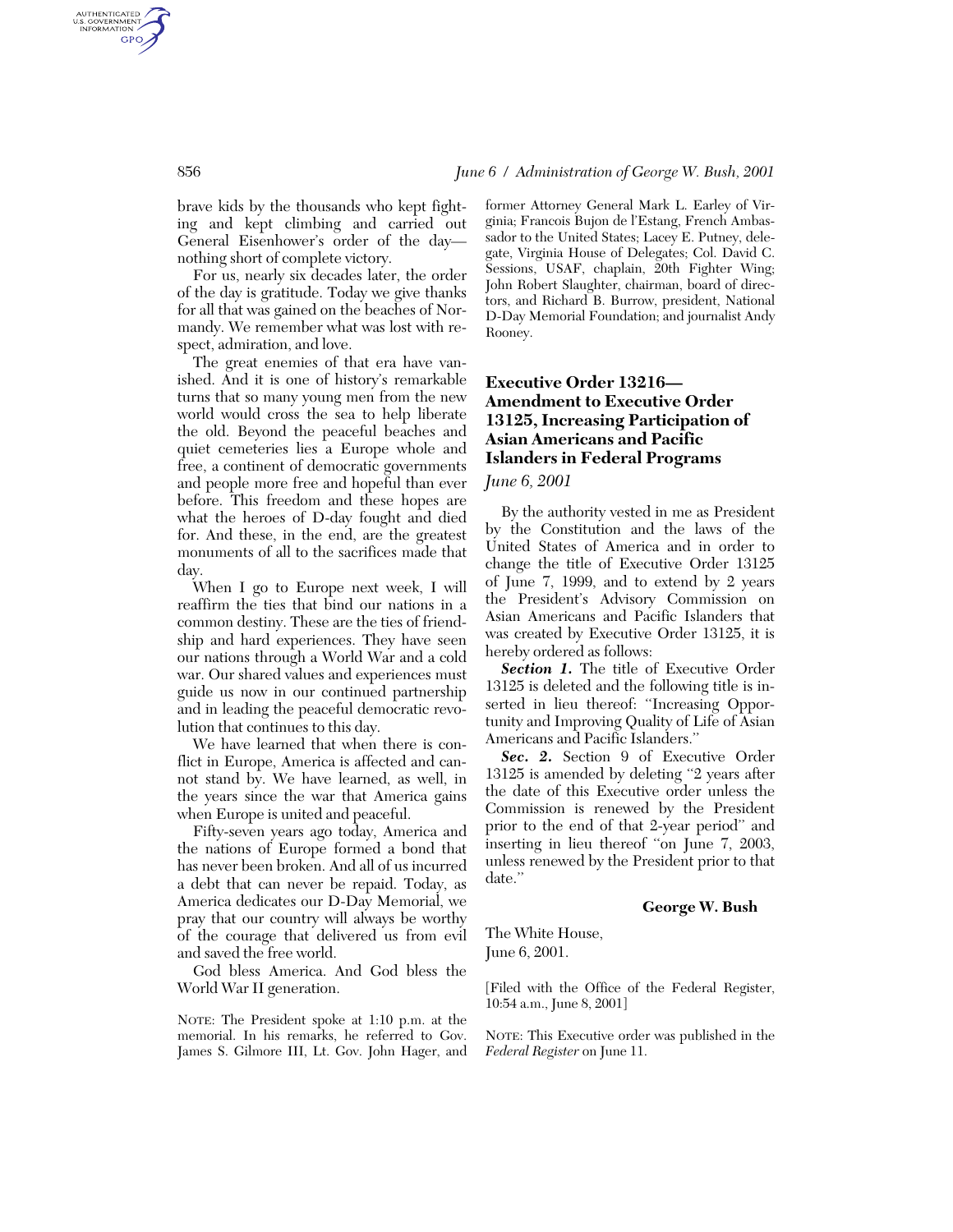brave kids by the thousands who kept fighting and kept climbing and carried out General Eisenhower's order of the day nothing short of complete victory.

For us, nearly six decades later, the order of the day is gratitude. Today we give thanks for all that was gained on the beaches of Normandy. We remember what was lost with respect, admiration, and love.

The great enemies of that era have vanished. And it is one of history's remarkable turns that so many young men from the new world would cross the sea to help liberate the old. Beyond the peaceful beaches and quiet cemeteries lies a Europe whole and free, a continent of democratic governments and people more free and hopeful than ever before. This freedom and these hopes are what the heroes of D-day fought and died for. And these, in the end, are the greatest monuments of all to the sacrifices made that day.

When I go to Europe next week, I will reaffirm the ties that bind our nations in a common destiny. These are the ties of friendship and hard experiences. They have seen our nations through a World War and a cold war. Our shared values and experiences must guide us now in our continued partnership and in leading the peaceful democratic revolution that continues to this day.

We have learned that when there is conflict in Europe, America is affected and cannot stand by. We have learned, as well, in the years since the war that America gains when Europe is united and peaceful.

Fifty-seven years ago today, America and the nations of Europe formed a bond that has never been broken. And all of us incurred a debt that can never be repaid. Today, as America dedicates our D-Day Memorial, we pray that our country will always be worthy of the courage that delivered us from evil and saved the free world.

God bless America. And God bless the World War II generation.

NOTE: The President spoke at 1:10 p.m. at the memorial. In his remarks, he referred to Gov. James S. Gilmore III, Lt. Gov. John Hager, and

former Attorney General Mark L. Earley of Virginia; Francois Bujon de l'Estang, French Ambassador to the United States; Lacey E. Putney, delegate, Virginia House of Delegates; Col. David C. Sessions, USAF, chaplain, 20th Fighter Wing; John Robert Slaughter, chairman, board of directors, and Richard B. Burrow, president, National D-Day Memorial Foundation; and journalist Andy Rooney.

# **Executive Order 13216— Amendment to Executive Order 13125, Increasing Participation of Asian Americans and Pacific Islanders in Federal Programs**

## *June 6, 2001*

By the authority vested in me as President by the Constitution and the laws of the United States of America and in order to change the title of Executive Order 13125 of June 7, 1999, and to extend by 2 years the President's Advisory Commission on Asian Americans and Pacific Islanders that was created by Executive Order 13125, it is hereby ordered as follows:

*Section 1.* The title of Executive Order 13125 is deleted and the following title is inserted in lieu thereof: "Increasing Opportunity and Improving Quality of Life of Asian Americans and Pacific Islanders.''

*Sec. 2.* Section 9 of Executive Order 13125 is amended by deleting ''2 years after the date of this Executive order unless the Commission is renewed by the President prior to the end of that 2-year period'' and inserting in lieu thereof "on June 7, 2003, unless renewed by the President prior to that date.''

### **George W. Bush**

The White House, June 6, 2001.

[Filed with the Office of the Federal Register, 10:54 a.m., June 8, 2001]

NOTE: This Executive order was published in the *Federal Register* on June 11.

AUTHENTICATED<br>U.S. GOVERNMENT<br>INFORMATION **GPO**